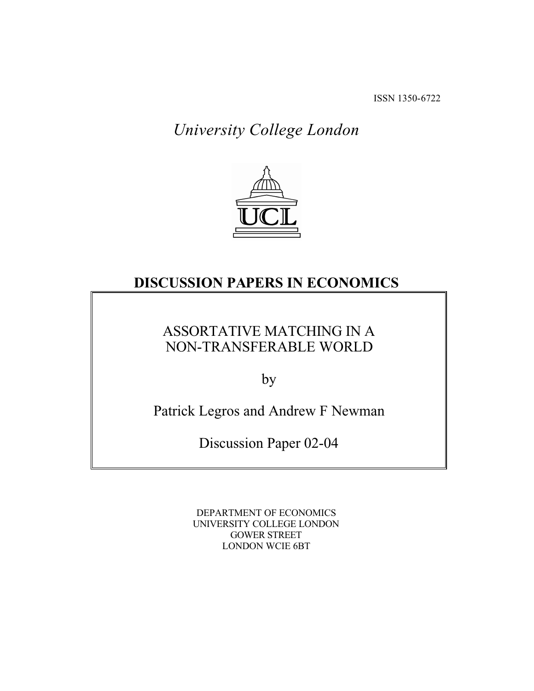ISSN 1350-6722

University College London



## DISCUSSION PAPERS IN ECONOMICS

## ASSORTATIVE MATCHING IN A NON-TRANSFERABLE WORLD

by

Patrick Legros and Andrew F Newman

Discussion Paper 02-04

DEPARTMENT OF ECONOMICS UNIVERSITY COLLEGE LONDON GOWER STREET LONDON WCIE 6BT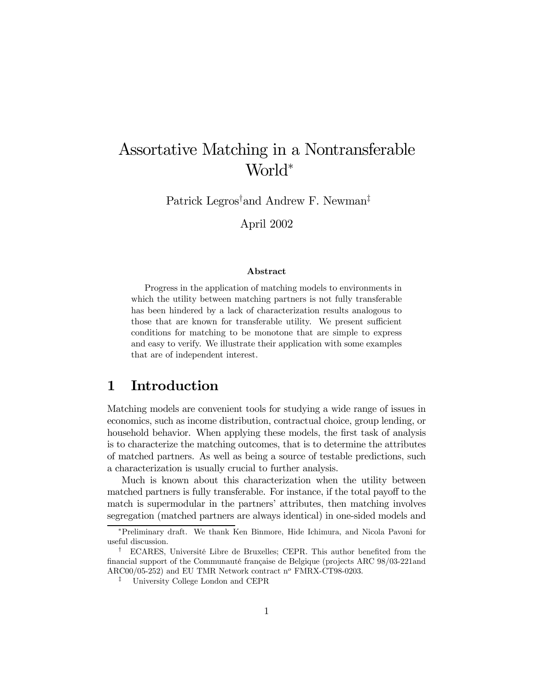# Assortative Matching in a Nontransferable World<sup>\*</sup>

Patrick Legros<sup>†</sup>and Andrew F. Newman<sup>‡</sup>

April 2002

#### Abstract

Progress in the application of matching models to environments in which the utility between matching partners is not fully transferable has been hindered by a lack of characterization results analogous to those that are known for transferable utility. We present sufficient conditions for matching to be monotone that are simple to express and easy to verify. We illustrate their application with some examples that are of independent interest.

### 1 Introduction

Matching models are convenient tools for studying a wide range of issues in economics, such as income distribution, contractual choice, group lending, or household behavior. When applying these models, the first task of analysis is to characterize the matching outcomes, that is to determine the attributes of matched partners. As well as being a source of testable predictions, such a characterization is usually crucial to further analysis.

Much is known about this characterization when the utility between matched partners is fully transferable. For instance, if the total payoff to the match is supermodular in the partners' attributes, then matching involves segregation (matched partners are always identical) in one-sided models and

Preliminary draft. We thank Ken Binmore, Hide Ichimura, and Nicola Pavoni for useful discussion.

<sup>&</sup>lt;sup>†</sup> ECARES, Université Libre de Bruxelles; CEPR. This author benefited from the financial support of the Communauté française de Belgique (projects ARC 98/03-221and ARC00/05-252) and EU TMR Network contract  $n^o$  FMRX-CT98-0203.

<sup>á</sup> University College London and CEPR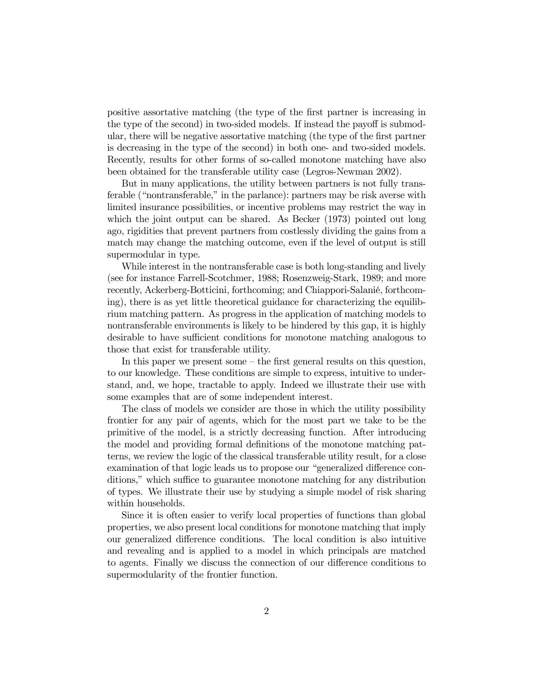positive assortative matching (the type of the first partner is increasing in the type of the second) in two-sided models. If instead the payoff is submodular, there will be negative assortative matching (the type of the first partner is decreasing in the type of the second) in both one- and two-sided models. Recently, results for other forms of so-called monotone matching have also been obtained for the transferable utility case (Legros-Newman 2002).

But in many applications, the utility between partners is not fully transferable ("nontransferable," in the parlance): partners may be risk averse with limited insurance possibilities, or incentive problems may restrict the way in which the joint output can be shared. As Becker (1973) pointed out long ago, rigidities that prevent partners from costlessly dividing the gains from a match may change the matching outcome, even if the level of output is still supermodular in type.

While interest in the nontransferable case is both long-standing and lively (see for instance Farrell-Scotchmer, 1988; Rosenzweig-Stark, 1989; and more recently, Ackerberg-Botticini, forthcoming; and Chiappori-Salanié, forthcoming), there is as yet little theoretical guidance for characterizing the equilibrium matching pattern. As progress in the application of matching models to nontransferable environments is likely to be hindered by this gap, it is highly desirable to have sufficient conditions for monotone matching analogous to those that exist for transferable utility.

In this paper we present some  $-$  the first general results on this question, to our knowledge. These conditions are simple to express, intuitive to understand, and, we hope, tractable to apply. Indeed we illustrate their use with some examples that are of some independent interest.

The class of models we consider are those in which the utility possibility frontier for any pair of agents, which for the most part we take to be the primitive of the model, is a strictly decreasing function. After introducing the model and providing formal definitions of the monotone matching patterns, we review the logic of the classical transferable utility result, for a close examination of that logic leads us to propose our "generalized difference conditions," which suffice to guarantee monotone matching for any distribution of types. We illustrate their use by studying a simple model of risk sharing within households.

Since it is often easier to verify local properties of functions than global properties, we also present local conditions for monotone matching that imply our generalized difference conditions. The local condition is also intuitive and revealing and is applied to a model in which principals are matched to agents. Finally we discuss the connection of our difference conditions to supermodularity of the frontier function.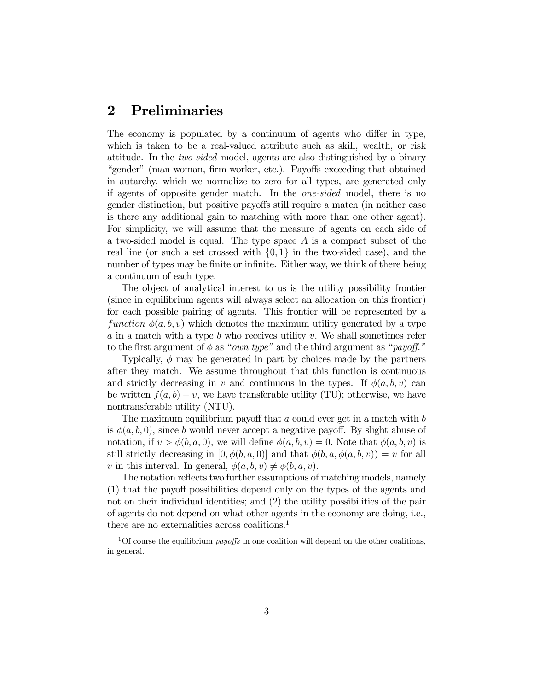## 2 Preliminaries

The economy is populated by a continuum of agents who differ in type, which is taken to be a real-valued attribute such as skill, wealth, or risk attitude. In the two-sided model, agents are also distinguished by a binary "gender" (man-woman, firm-worker, etc.). Payoffs exceeding that obtained in autarchy, which we normalize to zero for all types, are generated only if agents of opposite gender match. In the one-sided model, there is no gender distinction, but positive payoffs still require a match (in neither case is there any additional gain to matching with more than one other agent). For simplicity, we will assume that the measure of agents on each side of a two-sided model is equal. The type space A is a compact subset of the real line (or such a set crossed with  $\{0,1\}$  in the two-sided case), and the number of types may be finite or infinite. Either way, we think of there being a continuum of each type.

The object of analytical interest to us is the utility possibility frontier (since in equilibrium agents will always select an allocation on this frontier) for each possible pairing of agents. This frontier will be represented by a function  $\phi(a, b, v)$  which denotes the maximum utility generated by a type a in a match with a type b who receives utility v. We shall sometimes refer to the first argument of  $\phi$  as "*own type*" and the third argument as "*payoff.*"

Typically,  $\phi$  may be generated in part by choices made by the partners after they match. We assume throughout that this function is continuous and strictly decreasing in v and continuous in the types. If  $\phi(a, b, v)$  can be written  $f(a, b) - v$ , we have transferable utility (TU); otherwise, we have nontransferable utility (NTU).

The maximum equilibrium payoff that a could ever get in a match with  $b$ is  $\phi(a, b, 0)$ , since b would never accept a negative payoff. By slight abuse of notation, if  $v > \phi(b, a, 0)$ , we will define  $\phi(a, b, v) = 0$ . Note that  $\phi(a, b, v)$  is still strictly decreasing in  $[0, \phi(b, a, 0)]$  and that  $\phi(b, a, \phi(a, b, v)) = v$  for all v in this interval. In general,  $\phi(a, b, v) \neq \phi(b, a, v)$ .

The notation reflects two further assumptions of matching models, namely  $(1)$  that the payoff possibilities depend only on the types of the agents and not on their individual identities; and (2) the utility possibilities of the pair of agents do not depend on what other agents in the economy are doing, i.e., there are no externalities across coalitions. 1

<sup>&</sup>lt;sup>1</sup>Of course the equilibrium *payoffs* in one coalition will depend on the other coalitions, in general.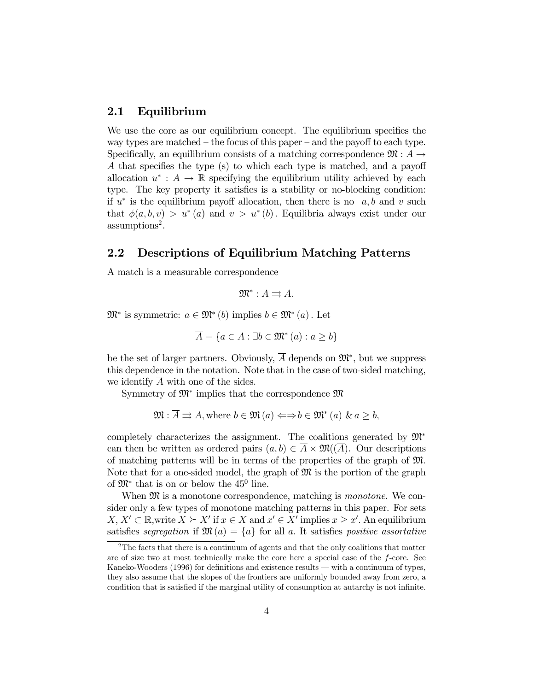### 2.1 Equilibrium

We use the core as our equilibrium concept. The equilibrium specifies the way types are matched  $-$  the focus of this paper  $-$  and the payoff to each type. Specifically, an equilibrium consists of a matching correspondence  $\mathfrak{M}: A \rightarrow$ A that specifies the type (s) to which each type is matched, and a payoff allocation  $u^*: A \to \mathbb{R}$  specifying the equilibrium utility achieved by each type. The key property it satisfies is a stability or no-blocking condition: if  $u^*$  is the equilibrium payoff allocation, then there is no  $a, b$  and v such that  $\phi(a, b, v) > u^*(a)$  and  $v > u^*(b)$ . Equilibria always exist under our assumptions 2 .

### 2.2 Descriptions of Equilibrium Matching Patterns

A match is a measurable correspondence

$$
\mathfrak{M}^*: A \rightrightarrows A.
$$

 $\mathfrak{M}^*$  is symmetric:  $a \in \mathfrak{M}^*(b)$  implies  $b \in \mathfrak{M}^*(a)$ . Let

$$
\overline{A} = \{ a \in A : \exists b \in \mathfrak{M}^*(a) : a \ge b \}
$$

be the set of larger partners. Obviously,  $\overline{A}$  depends on  $\mathfrak{M}^*$ , but we suppress this dependence in the notation. Note that in the case of two-sided matching, we identify  $\overline{A}$  with one of the sides.

Symmetry of  $\mathfrak{M}^*$  implies that the correspondence  $\mathfrak{M}$ 

$$
\mathfrak{M}: \overline{A} \rightrightarrows A
$$
, where  $b \in \mathfrak{M}(a) \Leftrightarrow b \in \mathfrak{M}^*(a) \& a \geq b$ ,

completely characterizes the assignment. The coalitions generated by  $\mathfrak{M}^*$ can then be written as ordered pairs  $(a, b) \in \overline{A} \times \mathfrak{M}(\overline{A})$ . Our descriptions of matching patterns will be in terms of the properties of the graph of M. Note that for a one-sided model, the graph of  $\mathfrak{M}$  is the portion of the graph of  $\mathfrak{M}^*$  that is on or below the 45<sup>0</sup> line.

When  $\mathfrak{M}$  is a monotone correspondence, matching is *monotone*. We consider only a few types of monotone matching patterns in this paper. For sets  $X, X' \subset \mathbb{R}$ , write  $X \succeq X'$  if  $x \in X$  and  $x' \in X'$  implies  $x \geq x'$ . An equilibrium satisfies segregation if  $\mathfrak{M}(a) = \{a\}$  for all a. It satisfies positive assortative

 $2$ The facts that there is a continuum of agents and that the only coalitions that matter are of size two at most technically make the core here a special case of the f-core. See Kaneko-Wooders  $(1996)$  for definitions and existence results — with a continuum of types, they also assume that the slopes of the frontiers are uniformly bounded away from zero, a condition that is satisfied if the marginal utility of consumption at autarchy is not infinite.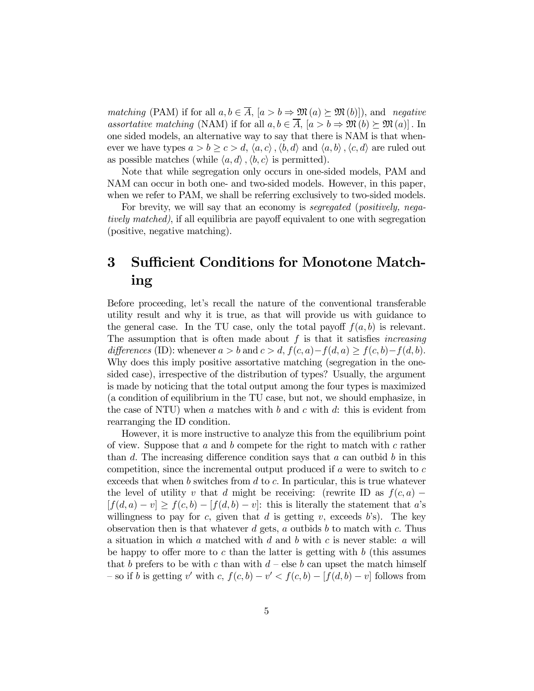*matching* (PAM) if for all  $a, b \in \overline{A}$ ,  $[a > b \Rightarrow \mathfrak{M}(a) \succeq \mathfrak{M}(b)]$ , and *negative* assortative matching (NAM) if for all  $a, b \in \overline{A}$ ,  $[a > b \Rightarrow \mathfrak{M}(b) \succeq \mathfrak{M}(a)]$ . In one sided models, an alternative way to say that there is NAM is that whenever we have types  $a > b \ge c > d, \langle a, c \rangle, \langle b, d \rangle$  and  $\langle a, b \rangle, \langle c, d \rangle$  are ruled out as possible matches (while  $\langle a, d \rangle$ ,  $\langle b, c \rangle$  is permitted).

Note that while segregation only occurs in one-sided models, PAM and NAM can occur in both one- and two-sided models. However, in this paper, when we refer to PAM, we shall be referring exclusively to two-sided models.

For brevity, we will say that an economy is *segregated (positively, nega*tively matched), if all equilibria are payoff equivalent to one with segregation (positive, negative matching).

## 3 Sufficient Conditions for Monotone Matching

Before proceeding, letís recall the nature of the conventional transferable utility result and why it is true, as that will provide us with guidance to the general case. In the TU case, only the total payoff  $f(a, b)$  is relevant. The assumption that is often made about  $f$  is that it satisfies *increasing* differences (ID): whenever  $a > b$  and  $c > d$ ,  $f(c, a) - f(d, a) > f(c, b) - f(d, b)$ . Why does this imply positive assortative matching (segregation in the onesided case), irrespective of the distribution of types? Usually, the argument is made by noticing that the total output among the four types is maximized (a condition of equilibrium in the TU case, but not, we should emphasize, in the case of NTU) when a matches with b and c with d: this is evident from rearranging the ID condition.

However, it is more instructive to analyze this from the equilibrium point of view. Suppose that  $a$  and  $b$  compete for the right to match with  $c$  rather than d. The increasing difference condition says that a can outbid b in this competition, since the incremental output produced if  $a$  were to switch to  $c$ exceeds that when b switches from  $d$  to  $c$ . In particular, this is true whatever the level of utility v that d might be receiving: (rewrite ID as  $f(c, a)$ )  $[f(d, a) - v] \ge f(c, b) - [f(d, b) - v]$ : this is literally the statement that a's willingness to pay for c, given that d is getting v, exceeds  $b$ 's). The key observation then is that whatever d gets, a outbids b to match with c. Thus a situation in which a matched with d and b with c is never stable: a will be happy to offer more to c than the latter is getting with  $b$  (this assumes that b prefers to be with c than with  $d$  – else b can upset the match himself  $\sim$  so if b is getting v' with c,  $f(c, b) - v' < f(c, b) - [f(d, b) - v]$  follows from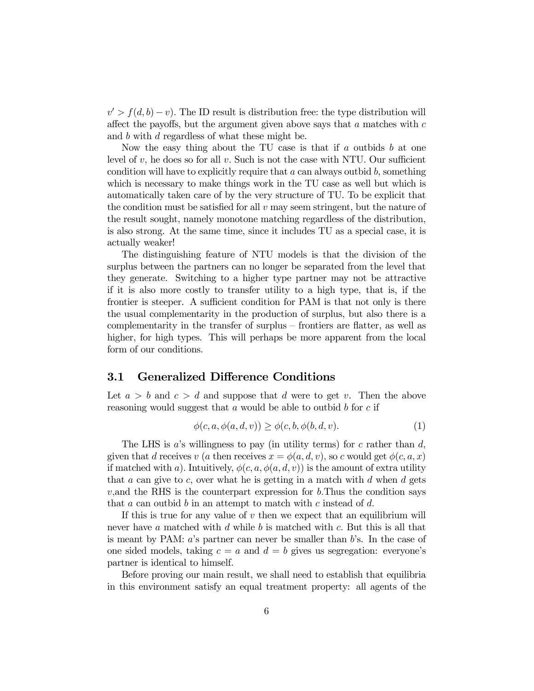$v' > f(d, b) - v$ ). The ID result is distribution free: the type distribution will affect the payoffs, but the argument given above says that  $a$  matches with  $c$ and b with d regardless of what these might be.

Now the easy thing about the TU case is that if  $a$  outbids  $b$  at one level of v, he does so for all v. Such is not the case with NTU. Our sufficient condition will have to explicitly require that  $a$  can always outbid  $b$ , something which is necessary to make things work in the TU case as well but which is automatically taken care of by the very structure of TU. To be explicit that the condition must be satisfied for all  $v$  may seem stringent, but the nature of the result sought, namely monotone matching regardless of the distribution, is also strong. At the same time, since it includes TU as a special case, it is actually weaker!

The distinguishing feature of NTU models is that the division of the surplus between the partners can no longer be separated from the level that they generate. Switching to a higher type partner may not be attractive if it is also more costly to transfer utility to a high type, that is, if the frontier is steeper. A sufficient condition for PAM is that not only is there the usual complementarity in the production of surplus, but also there is a complementarity in the transfer of surplus  $-$  frontiers are flatter, as well as higher, for high types. This will perhaps be more apparent from the local form of our conditions.

### 3.1 Generalized Difference Conditions

Let  $a > b$  and  $c > d$  and suppose that d were to get v. Then the above reasoning would suggest that  $a$  would be able to outbid  $b$  for  $c$  if

$$
\phi(c, a, \phi(a, d, v)) \ge \phi(c, b, \phi(b, d, v). \tag{1}
$$

The LHS is a's willingness to pay (in utility terms) for c rather than  $d$ , given that d receives v (a then receives  $x = \phi(a, d, v)$ , so c would get  $\phi(c, a, x)$ if matched with a). Intuitively,  $\phi(c, a, \phi(a, d, v))$  is the amount of extra utility that  $a$  can give to  $c$ , over what he is getting in a match with  $d$  when  $d$  gets  $v$ , and the RHS is the counterpart expression for b. Thus the condition says that  $a$  can outbid  $b$  in an attempt to match with  $c$  instead of  $d$ .

If this is true for any value of  $v$  then we expect that an equilibrium will never have a matched with  $d$  while  $b$  is matched with  $c$ . But this is all that is meant by PAM:  $a$ 's partner can never be smaller than  $b$ 's. In the case of one sided models, taking  $c = a$  and  $d = b$  gives us segregation: everyone's partner is identical to himself.

Before proving our main result, we shall need to establish that equilibria in this environment satisfy an equal treatment property: all agents of the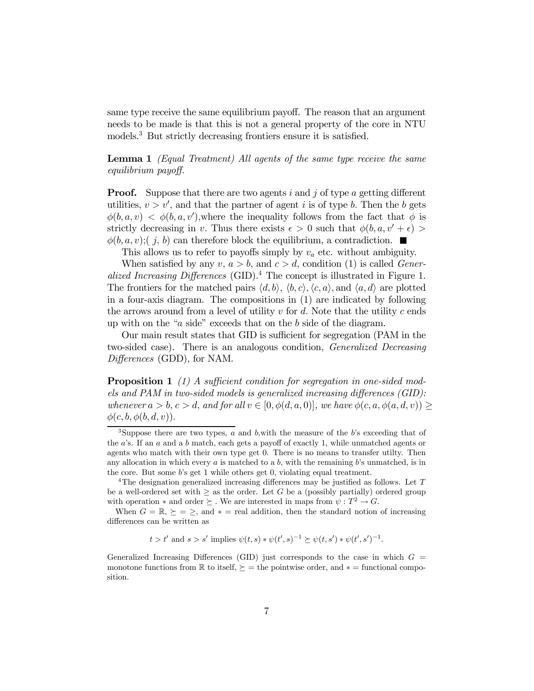same type receive the same equilibrium payoff. The reason that an argument needs to be made is that this is not a general property of the core in NTU models. <sup>3</sup> But strictly decreasing frontiers ensure it is satisfied.

Lemma 1 (Equal Treatment) All agents of the same type receive the same equilibrium payoff.

**Proof.** Suppose that there are two agents i and j of type a getting different utilities,  $v > v'$ , and that the partner of agent i is of type b. Then the b gets  $\phi(b, a, v) < \phi(b, a, v')$ , where the inequality follows from the fact that  $\phi$  is strictly decreasing in v. Thus there exists  $\epsilon > 0$  such that  $\phi(b, a, v' + \epsilon)$  $\phi(b, a, v); (j, b)$  can therefore block the equilibrium, a contradiction.  $\blacksquare$ 

This allows us to refer to payoffs simply by  $v_a$  etc. without ambiguity.

When satisfied by any  $v, a > b$ , and  $c > d$ , condition (1) is called Generalized Increasing Differences (GID).<sup>4</sup> The concept is illustrated in Figure 1. The frontiers for the matched pairs  $\langle d, b \rangle$ ,  $\langle b, c \rangle$ ,  $\langle c, a \rangle$ , and  $\langle a, d \rangle$  are plotted in a four-axis diagram. The compositions in (1) are indicated by following the arrows around from a level of utility  $v$  for  $d$ . Note that the utility  $c$  ends up with on the " $a$  side" exceeds that on the  $b$  side of the diagram.

Our main result states that GID is sufficient for segregation (PAM in the two-sided case). There is an analogous condition, Generalized Decreasing  $Differences$  (GDD), for NAM.

**Proposition 1** (1) A sufficient condition for segregation in one-sided models and PAM in two-sided models is generalized increasing differences  $(GID)$ : whenever  $a > b, c > d$ , and for all  $v \in [0, \phi(d, a, 0)]$ , we have  $\phi(c, a, \phi(a, d, v))$  $\phi(c, b, \phi(b, d, v)).$ 

$$
t > t'
$$
 and  $s > s'$  implies  $\psi(t, s) * \psi(t', s)^{-1} \succeq \psi(t, s') * \psi(t', s')^{-1}$ .

Generalized Increasing Differences (GID) just corresponds to the case in which  $G =$ monotone functions from  $\mathbb R$  to itself,  $\succeq$  = the pointwise order, and  $*$  = functional composition.

<sup>&</sup>lt;sup>3</sup>Suppose there are two types,  $a$  and  $b$ , with the measure of the  $b$ 's exceeding that of the  $a$ 's. If an  $a$  and a  $b$  match, each gets a payoff of exactly 1, while unmatched agents or agents who match with their own type get 0. There is no means to transfer utilty. Then any allocation in which every a is matched to a b, with the remaining b's unmatched, is in the core. But some bís get 1 while others get 0, violating equal treatment.

<sup>&</sup>lt;sup>4</sup>The designation generalized increasing differences may be justified as follows. Let  $T$ be a well-ordered set with  $\geq$  as the order. Let G be a (possibly partially) ordered group with operation  $*$  and order  $\succeq$ . We are interested in maps from  $\psi : T^2 \to G$ .

When  $G = \mathbb{R}, \geq \infty$ , and  $* = \text{real addition}$ , then the standard notion of increasing differences can be written as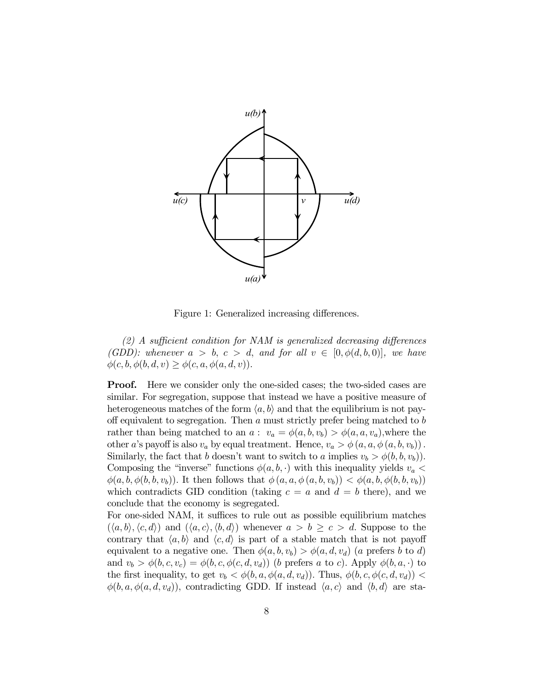

Figure 1: Generalized increasing differences.

 $(2)$  A sufficient condition for NAM is generalized decreasing differences (GDD): whenever  $a > b$ ,  $c > d$ , and for all  $v \in [0, \phi(d, b, 0)]$ , we have  $\phi(c, b, \phi(b, d, v) \geq \phi(c, a, \phi(a, d, v)).$ 

**Proof.** Here we consider only the one-sided cases; the two-sided cases are similar. For segregation, suppose that instead we have a positive measure of heterogeneous matches of the form  $\langle a, b \rangle$  and that the equilibrium is not payoff equivalent to segregation. Then a must strictly prefer being matched to  $b$ rather than being matched to an  $a: v_a = \phi(a, b, v_b) > \phi(a, a, v_a)$ , where the other a's payoff is also  $v_a$  by equal treatment. Hence,  $v_a > \phi(a, a, \phi(a, b, v_b))$ . Similarly, the fact that b doesn't want to switch to a implies  $v_b > \phi(b, b, v_b)$ . Composing the "inverse" functions  $\phi(a, b, \cdot)$  with this inequality yields  $v_a$  $\phi(a, b, \phi(b, b, v_b))$ . It then follows that  $\phi(a, a, \phi(a, b, v_b)) < \phi(a, b, \phi(b, b, v_b))$ which contradicts GID condition (taking  $c = a$  and  $d = b$  there), and we conclude that the economy is segregated.

For one-sided NAM, it suffices to rule out as possible equilibrium matches  $(\langle a, b \rangle, \langle c, d \rangle)$  and  $(\langle a, c \rangle, \langle b, d \rangle)$  whenever  $a > b \geq c > d$ . Suppose to the contrary that  $\langle a, b \rangle$  and  $\langle c, d \rangle$  is part of a stable match that is not payoff equivalent to a negative one. Then  $\phi(a, b, v_b) > \phi(a, d, v_d)$  (a prefers b to d) and  $v_b > \phi(b, c, v_c) = \phi(b, c, \phi(c, d, v_d))$  (b prefers a to c). Apply  $\phi(b, a, \cdot)$  to the first inequality, to get  $v_b < \phi(b, a, \phi(a, d, v_d))$ . Thus,  $\phi(b, c, \phi(c, d, v_d))$  $\phi(b, a, \phi(a, d, v_d))$ , contradicting GDD. If instead  $\langle a, c \rangle$  and  $\langle b, d \rangle$  are sta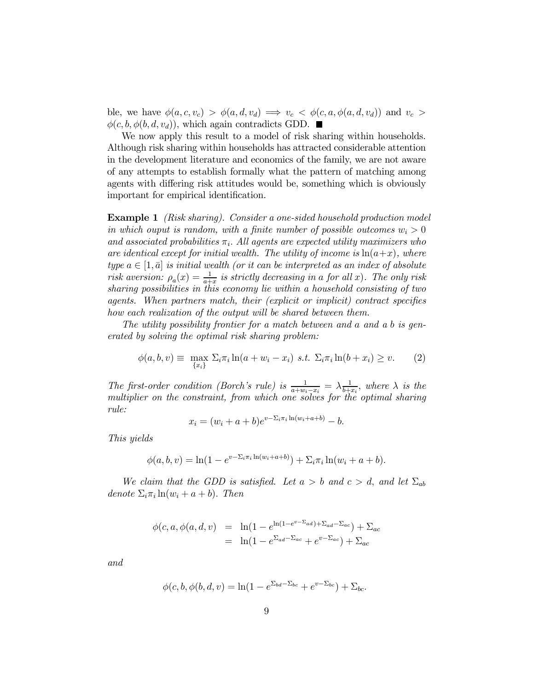ble, we have  $\phi(a, c, v_c) > \phi(a, d, v_d) \implies v_c < \phi(c, a, \phi(a, d, v_d))$  and  $v_c >$  $\phi(c, b, \phi(b, d, v_d))$ , which again contradicts GDD.

We now apply this result to a model of risk sharing within households. Although risk sharing within households has attracted considerable attention in the development literature and economics of the family, we are not aware of any attempts to establish formally what the pattern of matching among agents with differing risk attitudes would be, something which is obviously important for empirical identification.

Example 1 (Risk sharing). Consider a one-sided household production model in which ouput is random, with a finite number of possible outcomes  $w_i > 0$ and associated probabilities  $\pi_i$ . All agents are expected utility maximizers who are identical except for initial wealth. The utility of income is  $ln(a+x)$ , where type  $a \in [1, \bar{a}]$  is initial wealth (or it can be interpreted as an index of absolute risk aversion:  $\rho_a(x) = \frac{1}{a+1}$  $\frac{1}{a+x}$  is strictly decreasing in a for all x). The only risk sharing possibilities in this economy lie within a household consisting of two agents. When partners match, their (explicit or implicit) contract specifies how each realization of the output will be shared between them.

The utility possibility frontier for a match between and a and a b is generated by solving the optimal risk sharing problem:

$$
\phi(a, b, v) \equiv \max_{\{x_i\}} \Sigma_i \pi_i \ln(a + w_i - x_i) \ s.t. \ \Sigma_i \pi_i \ln(b + x_i) \ge v. \tag{2}
$$

The first-order condition (Borch's rule) is  $\frac{1}{a+w_i-x_i} = \lambda \frac{1}{b+i}$  $\frac{1}{b+x_i}$ , where  $\lambda$  is the multiplier on the constraint, from which one solves for the optimal sharing rule:

$$
x_i = (w_i + a + b)e^{v - \sum_i \pi_i \ln(w_i + a + b)} - b.
$$

This yields

$$
\phi(a, b, v) = \ln(1 - e^{v - \Sigma_i \pi_i \ln(w_i + a + b)}) + \Sigma_i \pi_i \ln(w_i + a + b).
$$

We claim that the GDD is satisfied. Let  $a > b$  and  $c > d$ , and let  $\Sigma_{ab}$ denote  $\Sigma_i \pi_i \ln(w_i + a + b)$ . Then

$$
\begin{array}{rcl}\n\phi(c, a, \phi(a, d, v) & = & \ln(1 - e^{\ln(1 - e^{v - \Sigma_{ad}}) + \Sigma_{ad} - \Sigma_{ac}}) + \Sigma_{ac} \\
& = & \ln(1 - e^{\Sigma_{ad} - \Sigma_{ac}} + e^{v - \Sigma_{ac}}) + \Sigma_{ac}\n\end{array}
$$

and

$$
\phi(c, b, \phi(b, d, v)) = \ln(1 - e^{\Sigma_{bd} - \Sigma_{bc}} + e^{v - \Sigma_{bc}}) + \Sigma_{bc}.
$$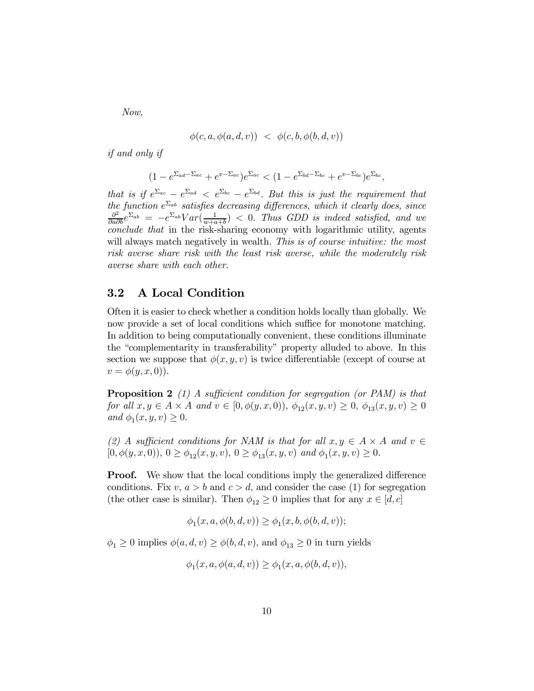Now,

$$
\phi(c, a, \phi(a, d, v)) \; < \; \phi(c, b, \phi(b, d, v))
$$

if and only if

$$
(1 - e^{\Sigma_{ad} - \Sigma_{ac}} + e^{v - \Sigma_{ac}})e^{\Sigma_{ac}} < (1 - e^{\Sigma_{bd} - \Sigma_{bc}} + e^{v - \Sigma_{bc}})e^{\Sigma_{bc}},
$$

that is if  $e^{\sum_{ac}} - e^{\sum_{bc}} - e^{\sum_{bd}}$ . But this is just the requirement that the function  $e^{\sum_{ab}}$  satisfies decreasing differences, which it clearly does, since  $\frac{\partial^2}{\partial \sum_{ab}} \sum_{c} \frac{\sum_{b} V_{c}(\sum_{b} 1)}{c}$  $\frac{\partial^2}{\partial a \partial b} e^{\Sigma_{ab}} = -e^{\Sigma_{ab}} Var(\frac{1}{w+a})$  $\frac{1}{w+a+b}$  < 0. Thus GDD is indeed satisfied, and we conclude that in the risk-sharing economy with logarithmic utility, agents will always match negatively in wealth. This is of course intuitive: the most risk averse share risk with the least risk averse, while the moderately risk averse share with each other.

### 3.2 A Local Condition

Often it is easier to check whether a condition holds locally than globally. We now provide a set of local conditions which suffice for monotone matching. In addition to being computationally convenient, these conditions illuminate the "complementarity in transferability" property alluded to above. In this section we suppose that  $\phi(x, y, v)$  is twice differentiable (except of course at  $v = \phi(y, x, 0)$ .

**Proposition 2** (1) A sufficient condition for segregation (or PAM) is that for all  $x, y \in A \times A$  and  $v \in [0, \phi(y, x, 0)), \ \phi_{12}(x, y, v) \ge 0, \ \phi_{13}(x, y, v) \ge 0$ and  $\phi_1(x, y, v) \geq 0$ .

(2) A sufficient conditions for NAM is that for all  $x, y \in A \times A$  and  $v \in$  $[0, \phi(y, x, 0)), 0 \ge \phi_{12}(x, y, v), 0 \ge \phi_{13}(x, y, v) \text{ and } \phi_1(x, y, v) \ge 0.$ 

**Proof.** We show that the local conditions imply the generalized difference conditions. Fix  $v, a > b$  and  $c > d$ , and consider the case (1) for segregation (the other case is similar). Then  $\phi_{12} \geq 0$  implies that for any  $x \in [d, c]$ 

$$
\phi_1(x, a, \phi(b, d, v)) \ge \phi_1(x, b, \phi(b, d, v));
$$

 $\phi_1 \geq 0$  implies  $\phi(a, d, v) \geq \phi(b, d, v)$ , and  $\phi_{13} \geq 0$  in turn yields

$$
\phi_1(x, a, \phi(a, d, v)) \ge \phi_1(x, a, \phi(b, d, v)),
$$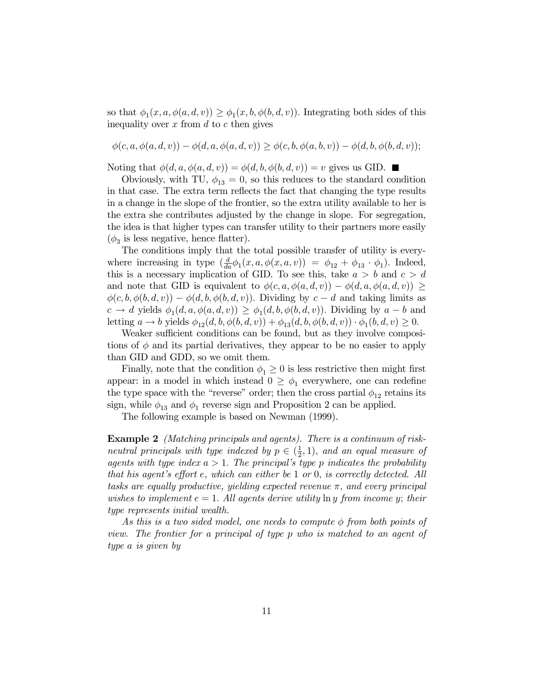so that  $\phi_1(x, a, \phi(a, d, v)) \ge \phi_1(x, b, \phi(b, d, v))$ . Integrating both sides of this inequality over  $x$  from  $d$  to  $c$  then gives

$$
\phi(c, a, \phi(a, d, v)) - \phi(d, a, \phi(a, d, v)) \ge \phi(c, b, \phi(a, b, v)) - \phi(d, b, \phi(b, d, v));
$$

Noting that  $\phi(d, a, \phi(a, d, v)) = \phi(d, b, \phi(b, d, v)) = v$  gives us GID.

Obviously, with TU,  $\phi_{13} = 0$ , so this reduces to the standard condition in that case. The extra term reflects the fact that changing the type results in a change in the slope of the frontier, so the extra utility available to her is the extra she contributes adjusted by the change in slope. For segregation, the idea is that higher types can transfer utility to their partners more easily  $(\phi_3$  is less negative, hence flatter).

The conditions imply that the total possible transfer of utility is everywhere increasing in type  $\left(\frac{d}{dt}\right)$  $\frac{d}{da}\phi_1(x, a, \phi(x, a, v)) = \phi_{12} + \phi_{13} \cdot \phi_1$ . Indeed, this is a necessary implication of GID. To see this, take  $a > b$  and  $c > d$ and note that GID is equivalent to  $\phi(c, a, \phi(a, d, v)) - \phi(d, a, \phi(a, d, v)) \geq$  $\phi(c, b, \phi(b, d, v)) - \phi(d, b, \phi(b, d, v))$ . Dividing by  $c - d$  and taking limits as  $c \to d$  yields  $\phi_1(d, a, \phi(a, d, v)) \ge \phi_1(d, b, \phi(b, d, v))$ . Dividing by  $a - b$  and letting  $a \to b$  yields  $\phi_{12}(d, b, \phi(b, d, v)) + \phi_{13}(d, b, \phi(b, d, v)) \cdot \phi_1(b, d, v) \ge 0.$ 

Weaker sufficient conditions can be found, but as they involve compositions of  $\phi$  and its partial derivatives, they appear to be no easier to apply than GID and GDD, so we omit them.

Finally, note that the condition  $\phi_1 \geq 0$  is less restrictive then might first appear: in a model in which instead  $0 \geq \phi_1$  everywhere, one can redefine the type space with the "reverse" order; then the cross partial  $\phi_{12}$  retains its sign, while  $\phi_{13}$  and  $\phi_1$  reverse sign and Proposition 2 can be applied.

The following example is based on Newman (1999).

Example 2 (Matching principals and agents). There is a continuum of riskneutral principals with type indexed by  $p \in (\frac{1}{2})$  $(\frac{1}{2}, 1)$ , and an equal measure of agents with type index  $a > 1$ . The principal's type p indicates the probability that his agent's effort  $e$ , which can either be 1 or 0, is correctly detected. All tasks are equally productive, yielding expected revenue  $\pi$ , and every principal wishes to implement  $e = 1$ . All agents derive utility  $\ln y$  from income y; their type represents initial wealth.

As this is a two sided model, one needs to compute  $\phi$  from both points of view. The frontier for a principal of type p who is matched to an agent of type a is given by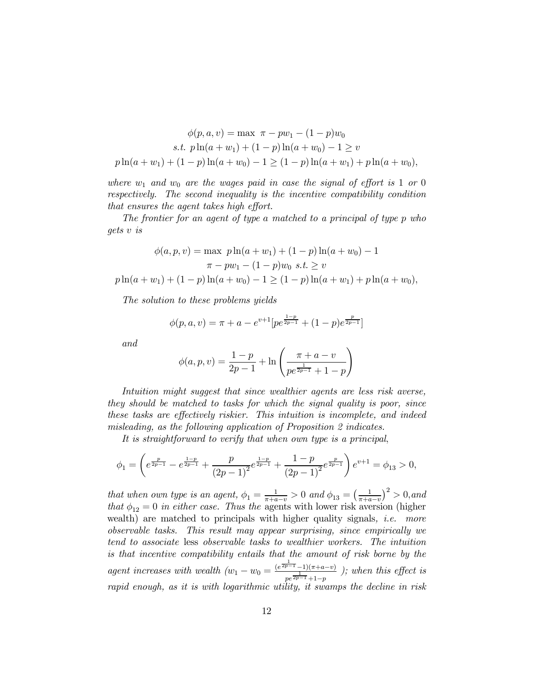$$
\phi(p, a, v) = \max \ \pi - pw_1 - (1 - p)w_0
$$
  
s.t.  $p \ln(a + w_1) + (1 - p) \ln(a + w_0) - 1 \ge v$   

$$
p \ln(a + w_1) + (1 - p) \ln(a + w_0) - 1 \ge (1 - p) \ln(a + w_1) + p \ln(a + w_0),
$$

where  $w_1$  and  $w_0$  are the wages paid in case the signal of effort is 1 or 0 respectively. The second inequality is the incentive compatibility condition that ensures the agent takes high effort.

The frontier for an agent of type a matched to a principal of type p who gets v is

$$
\phi(a, p, v) = \max p \ln(a + w_1) + (1 - p) \ln(a + w_0) - 1
$$
  

$$
\pi - pw_1 - (1 - p)w_0 \ s.t. \ge v
$$
  

$$
p \ln(a + w_1) + (1 - p) \ln(a + w_0) - 1 \ge (1 - p) \ln(a + w_1) + p \ln(a + w_0),
$$

The solution to these problems yields

$$
\phi(p, a, v) = \pi + a - e^{v+1} [p e^{\frac{1-p}{2p-1}} + (1-p) e^{\frac{p}{2p-1}}]
$$

and

$$
\phi(a, p, v) = \frac{1-p}{2p - 1} + \ln\left(\frac{\pi + a - v}{pe^{\frac{1}{2p - 1}} + 1 - p}\right)
$$

Intuition might suggest that since wealthier agents are less risk averse, they should be matched to tasks for which the signal quality is poor, since these tasks are effectively riskier. This intuition is incomplete, and indeed misleading, as the following application of Proposition 2 indicates.

It is straightforward to verify that when own type is a principal,

$$
\phi_1=\left(e^{\frac{p}{2p-1}}-e^{\frac{1-p}{2p-1}}+\frac{p}{\left(2p-1\right)^2}e^{\frac{1-p}{2p-1}}+\frac{1-p}{\left(2p-1\right)^2}e^{\frac{p}{2p-1}}\right)e^{v+1}=\phi_{13}>0,
$$

that when own type is an agent,  $\phi_1 = \frac{1}{\pi + a - v} > 0$  and  $\phi_{13} = \left(\frac{1}{\pi + a - v}\right)^2 > 0$ , and that  $\phi_{12} = 0$  in either case. Thus the agents with lower risk aversion (higher wealth) are matched to principals with higher quality signals, *i.e.* more observable tasks. This result may appear surprising, since empirically we tend to associate less observable tasks to wealthier workers. The intuition is that incentive compatibility entails that the amount of risk borne by the agent increases with wealth  $(w_1 - w_0 = \frac{(e^{\frac{1}{2p-1}}-1)(\pi+a-v)}{\frac{1}{2p-1}})$  $\frac{1}{pe^{2p-1}-1(1-p)}$  ); when this effect is rapid enough, as it is with logarithmic utility, it swamps the decline in risk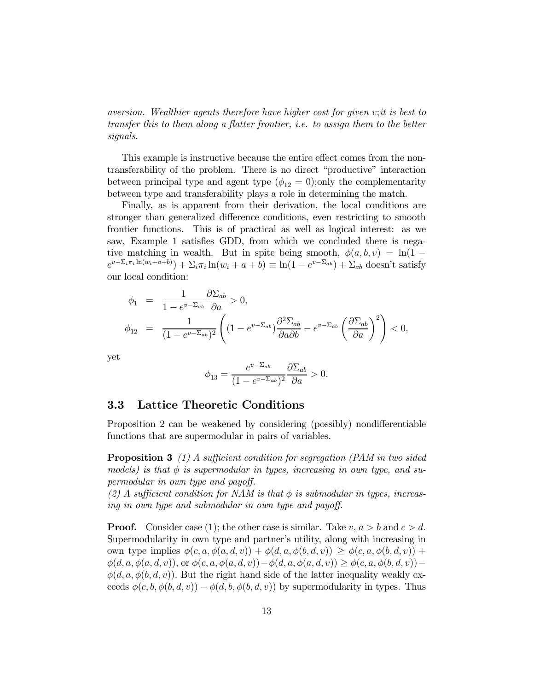aversion. Wealthier agents therefore have higher cost for given v;it is best to transfer this to them along a flatter frontier, i.e. to assign them to the better signals.

This example is instructive because the entire effect comes from the nontransferability of the problem. There is no direct "productive" interaction between principal type and agent type  $(\phi_{12} = 0)$ ; only the complementarity between type and transferability plays a role in determining the match.

Finally, as is apparent from their derivation, the local conditions are stronger than generalized difference conditions, even restricting to smooth frontier functions. This is of practical as well as logical interest: as we saw, Example 1 satisfies GDD, from which we concluded there is negative matching in wealth. But in spite being smooth,  $\phi(a, b, v) = \ln(1$  $e^{v-\sum_i \pi_i \ln(w_i+a+b)}) + \sum_i \pi_i \ln(w_i+a+b) \equiv \ln(1-e^{v-\sum_{ab}}) + \sum_{ab}$  doesn't satisfy our local condition:

$$
\phi_1 = \frac{1}{1 - e^{v - \Sigma_{ab}}} \frac{\partial \Sigma_{ab}}{\partial a} > 0,
$$
  

$$
\phi_{12} = \frac{1}{(1 - e^{v - \Sigma_{ab}})^2} \left( (1 - e^{v - \Sigma_{ab}}) \frac{\partial^2 \Sigma_{ab}}{\partial a \partial b} - e^{v - \Sigma_{ab}} \left( \frac{\partial \Sigma_{ab}}{\partial a} \right)^2 \right) < 0,
$$

yet

$$
\phi_{13} = \frac{e^{v - \Sigma_{ab}}}{(1 - e^{v - \Sigma_{ab}})^2} \frac{\partial \Sigma_{ab}}{\partial a} > 0.
$$

#### 3.3 Lattice Theoretic Conditions

Proposition 2 can be weakened by considering (possibly) nondifferentiable functions that are supermodular in pairs of variables.

**Proposition 3** (1) A sufficient condition for segregation (PAM in two sided models) is that  $\phi$  is supermodular in types, increasing in own type, and supermodular in own type and payoff.

(2) A sufficient condition for NAM is that  $\phi$  is submodular in types, increasing in own type and submodular in own type and payoff.

**Proof.** Consider case (1); the other case is similar. Take  $v, a > b$  and  $c > d$ . Supermodularity in own type and partner's utility, along with increasing in own type implies  $\phi(c, a, \phi(a, d, v)) + \phi(d, a, \phi(b, d, v)) \geq \phi(c, a, \phi(b, d, v)) +$  $\phi(d, a, \phi(a, d, v)),$  or  $\phi(c, a, \phi(a, d, v))-\phi(d, a, \phi(a, d, v)) \geq \phi(c, a, \phi(b, d, v))$  $\phi(d, a, \phi(b, d, v))$ . But the right hand side of the latter inequality weakly exceeds  $\phi(c, b, \phi(b, d, v)) - \phi(d, b, \phi(b, d, v))$  by supermodularity in types. Thus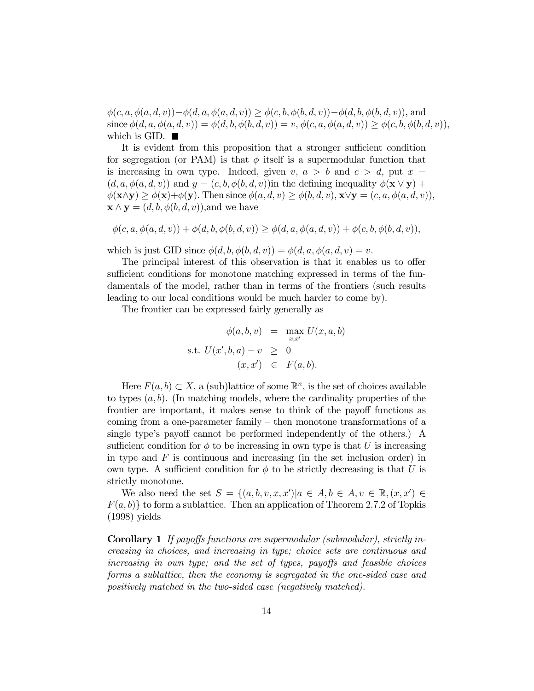$\phi(c, a, \phi(a, d, v))-\phi(d, a, \phi(a, d, v)) \geq \phi(c, b, \phi(b, d, v))-\phi(d, b, \phi(b, d, v)),$  and since  $\phi(d, a, \phi(a, d, v)) = \phi(d, b, \phi(b, d, v)) = v, \phi(c, a, \phi(a, d, v)) \geq \phi(c, b, \phi(b, d, v)),$ which is GID.  $\blacksquare$ 

It is evident from this proposition that a stronger sufficient condition for segregation (or PAM) is that  $\phi$  itself is a supermodular function that is increasing in own type. Indeed, given  $v, a > b$  and  $c > d$ , put  $x =$  $(d, a, \phi(a, d, v))$  and  $y = (c, b, \phi(b, d, v))$  in the defining inequality  $\phi(\mathbf{x} \vee \mathbf{y}) +$  $\phi(\mathbf{x}\wedge\mathbf{y}) > \phi(\mathbf{x})+\phi(\mathbf{y})$ . Then since  $\phi(a, d, v) > \phi(b, d, v), \mathbf{x}\vee\mathbf{y} = (c, a, \phi(a, d, v)),$  $\mathbf{x} \wedge \mathbf{y} = (d, b, \phi(b, d, v))$ , and we have

$$
\phi(c, a, \phi(a, d, v)) + \phi(d, b, \phi(b, d, v)) \ge \phi(d, a, \phi(a, d, v)) + \phi(c, b, \phi(b, d, v)),
$$

which is just GID since  $\phi(d, b, \phi(b, d, v)) = \phi(d, a, \phi(a, d, v)) = v$ .

The principal interest of this observation is that it enables us to offer sufficient conditions for monotone matching expressed in terms of the fundamentals of the model, rather than in terms of the frontiers (such results leading to our local conditions would be much harder to come by).

The frontier can be expressed fairly generally as

$$
\phi(a, b, v) = \max_{x, x'} U(x, a, b)
$$
  
s.t.  $U(x', b, a) - v \geq 0$   
 $(x, x') \in F(a, b).$ 

Here  $F(a, b) \subset X$ , a (sub)lattice of some  $\mathbb{R}^n$ , is the set of choices available to types  $(a, b)$ . (In matching models, where the cardinality properties of the frontier are important, it makes sense to think of the payoff functions as coming from a one-parameter family  $-$  then monotone transformations of a single type's payoff cannot be performed independently of the others.) A sufficient condition for  $\phi$  to be increasing in own type is that U is increasing in type and  $F$  is continuous and increasing (in the set inclusion order) in own type. A sufficient condition for  $\phi$  to be strictly decreasing is that U is strictly monotone.

We also need the set  $S = \{(a, b, v, x, x') | a \in A, b \in A, v \in \mathbb{R}, (x, x') \in$  $F(a, b)$  to form a sublattice. Then an application of Theorem 2.7.2 of Topkis (1998) yields

**Corollary 1** If payoffs functions are supermodular (submodular), strictly increasing in choices, and increasing in type; choice sets are continuous and  $increasing$  in own type; and the set of types, payoffs and feasible choices forms a sublattice, then the economy is segregated in the one-sided case and positively matched in the two-sided case (negatively matched).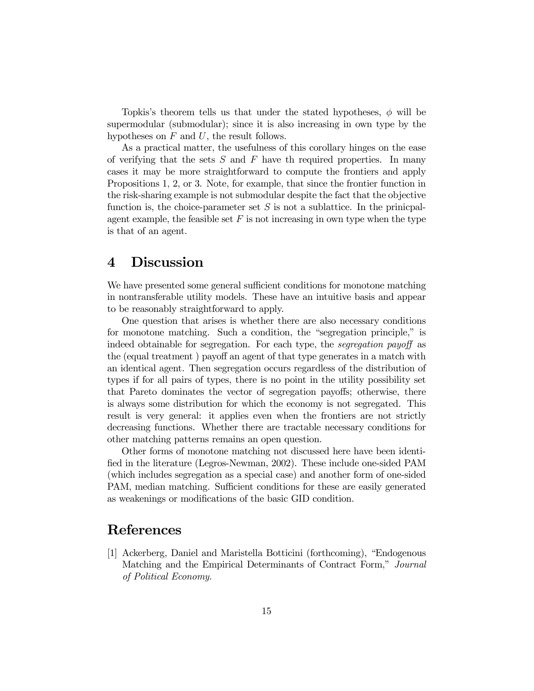Topkis's theorem tells us that under the stated hypotheses,  $\phi$  will be supermodular (submodular); since it is also increasing in own type by the hypotheses on  $F$  and  $U$ , the result follows.

As a practical matter, the usefulness of this corollary hinges on the ease of verifying that the sets  $S$  and  $F$  have the required properties. In many cases it may be more straightforward to compute the frontiers and apply Propositions 1, 2, or 3. Note, for example, that since the frontier function in the risk-sharing example is not submodular despite the fact that the objective function is, the choice-parameter set  $S$  is not a sublattice. In the prinicpalagent example, the feasible set  $F$  is not increasing in own type when the type is that of an agent.

### 4 Discussion

We have presented some general sufficient conditions for monotone matching in nontransferable utility models. These have an intuitive basis and appear to be reasonably straightforward to apply.

One question that arises is whether there are also necessary conditions for monotone matching. Such a condition, the "segregation principle," is indeed obtainable for segregation. For each type, the *segregation payoff* as the (equal treatment) payoff an agent of that type generates in a match with an identical agent. Then segregation occurs regardless of the distribution of types if for all pairs of types, there is no point in the utility possibility set that Pareto dominates the vector of segregation payoffs; otherwise, there is always some distribution for which the economy is not segregated. This result is very general: it applies even when the frontiers are not strictly decreasing functions. Whether there are tractable necessary conditions for other matching patterns remains an open question.

Other forms of monotone matching not discussed here have been identified in the literature (Legros-Newman, 2002). These include one-sided PAM (which includes segregation as a special case) and another form of one-sided PAM, median matching. Sufficient conditions for these are easily generated as weakenings or modifications of the basic GID condition.

### References

 $[1]$  Ackerberg, Daniel and Maristella Botticini (forthcoming), "Endogenous Matching and the Empirical Determinants of Contract Form," Journal of Political Economy.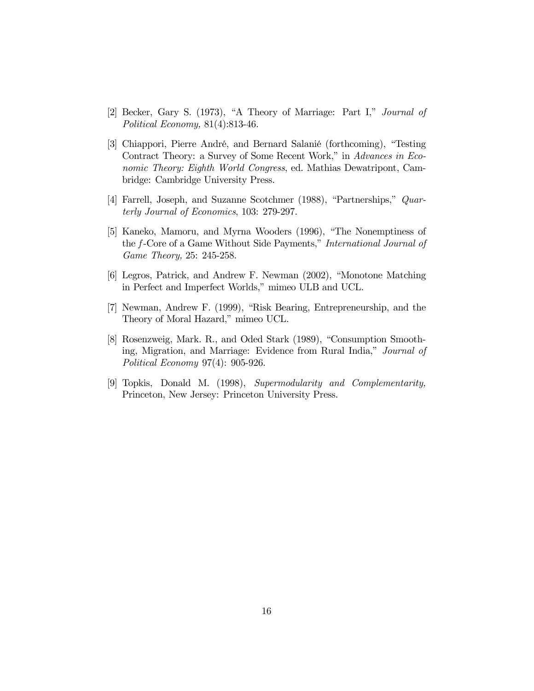- $[2]$  Becker, Gary S. (1973), "A Theory of Marriage: Part I," *Journal of* Political Economy, 81(4):813-46.
- [3] Chiappori, Pierre André, and Bernard Salanié (forthcoming), "Testing Contract Theory: a Survey of Some Recent Work," in Advances in Economic Theory: Eighth World Congress, ed. Mathias Dewatripont, Cambridge: Cambridge University Press.
- [4] Farrell, Joseph, and Suzanne Scotchmer (1988), "Partnerships,"  $Quar$ terly Journal of Economics, 103: 279-297.
- [5] Kaneko, Mamoru, and Myrna Wooders (1996), "The Nonemptiness of the f-Core of a Game Without Side Payments," International Journal of Game Theory, 25: 245-258.
- [6] Legros, Patrick, and Andrew F. Newman (2002), "Monotone Matching in Perfect and Imperfect Worlds," mimeo ULB and UCL.
- [7] Newman, Andrew F. (1999), "Risk Bearing, Entrepreneurship, and the Theory of Moral Hazard," mimeo UCL.
- [8] Rosenzweig, Mark. R., and Oded Stark (1989), "Consumption Smoothing, Migration, and Marriage: Evidence from Rural India," Journal of Political Economy 97(4): 905-926.
- [9] Topkis, Donald M. (1998), Supermodularity and Complementarity, Princeton, New Jersey: Princeton University Press.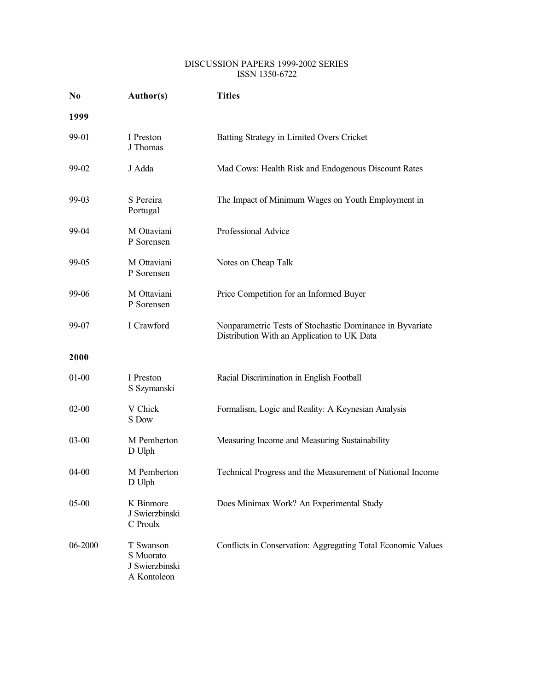#### DISCUSSION PAPERS 1999-2002 SERIES ISSN 1350-6722

| No.       | Author(s)                                               | <b>Titles</b>                                                                                           |
|-----------|---------------------------------------------------------|---------------------------------------------------------------------------------------------------------|
| 1999      |                                                         |                                                                                                         |
| 99-01     | I Preston<br>J Thomas                                   | Batting Strategy in Limited Overs Cricket                                                               |
| 99-02     | J Adda                                                  | Mad Cows: Health Risk and Endogenous Discount Rates                                                     |
| 99-03     | S Pereira<br>Portugal                                   | The Impact of Minimum Wages on Youth Employment in                                                      |
| 99-04     | M Ottaviani<br>P Sorensen                               | Professional Advice                                                                                     |
| 99-05     | M Ottaviani<br>P Sorensen                               | Notes on Cheap Talk                                                                                     |
| 99-06     | M Ottaviani<br>P Sorensen                               | Price Competition for an Informed Buyer                                                                 |
| 99-07     | I Crawford                                              | Nonparametric Tests of Stochastic Dominance in Byvariate<br>Distribution With an Application to UK Data |
| 2000      |                                                         |                                                                                                         |
| $01 - 00$ | I Preston<br>S Szymanski                                | Racial Discrimination in English Football                                                               |
| $02 - 00$ | V Chick<br>S Dow                                        | Formalism, Logic and Reality: A Keynesian Analysis                                                      |
| $03-00$   | M Pemberton<br>D Ulph                                   | Measuring Income and Measuring Sustainability                                                           |
| $04 - 00$ | M Pemberton<br>D Ulph                                   | Technical Progress and the Measurement of National Income                                               |
| $05 - 00$ | K Binmore<br>J Swierzbinski<br>C Proulx                 | Does Minimax Work? An Experimental Study                                                                |
| 06-2000   | T Swanson<br>S Muorato<br>J Swierzbinski<br>A Kontoleon | Conflicts in Conservation: Aggregating Total Economic Values                                            |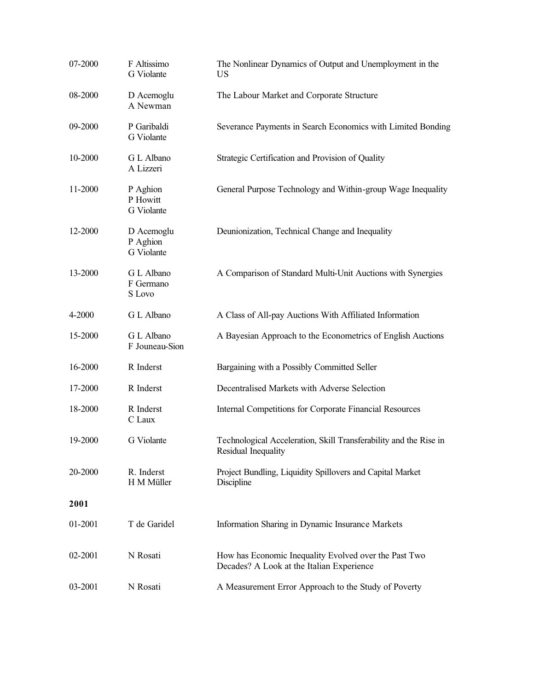| 07-2000 | F Altissimo<br>G Violante            | The Nonlinear Dynamics of Output and Unemployment in the<br><b>US</b>                              |
|---------|--------------------------------------|----------------------------------------------------------------------------------------------------|
| 08-2000 | D Acemoglu<br>A Newman               | The Labour Market and Corporate Structure                                                          |
| 09-2000 | P Garibaldi<br>G Violante            | Severance Payments in Search Economics with Limited Bonding                                        |
| 10-2000 | G L Albano<br>A Lizzeri              | Strategic Certification and Provision of Quality                                                   |
| 11-2000 | P Aghion<br>P Howitt<br>G Violante   | General Purpose Technology and Within-group Wage Inequality                                        |
| 12-2000 | D Acemoglu<br>P Aghion<br>G Violante | Deunionization, Technical Change and Inequality                                                    |
| 13-2000 | G L Albano<br>F Germano<br>S Lovo    | A Comparison of Standard Multi-Unit Auctions with Synergies                                        |
| 4-2000  | G L Albano                           | A Class of All-pay Auctions With Affiliated Information                                            |
| 15-2000 | G L Albano<br>F Jouneau-Sion         | A Bayesian Approach to the Econometrics of English Auctions                                        |
| 16-2000 | R Inderst                            | Bargaining with a Possibly Committed Seller                                                        |
| 17-2000 | R Inderst                            | Decentralised Markets with Adverse Selection                                                       |
| 18-2000 | R Inderst<br>C Laux                  | Internal Competitions for Corporate Financial Resources                                            |
| 19-2000 | G Violante                           | Technological Acceleration, Skill Transferability and the Rise in<br>Residual Inequality           |
| 20-2000 | R. Inderst<br>H M Müller             | Project Bundling, Liquidity Spillovers and Capital Market<br>Discipline                            |
| 2001    |                                      |                                                                                                    |
| 01-2001 | T de Garidel                         | Information Sharing in Dynamic Insurance Markets                                                   |
| 02-2001 | N Rosati                             | How has Economic Inequality Evolved over the Past Two<br>Decades? A Look at the Italian Experience |
| 03-2001 | N Rosati                             | A Measurement Error Approach to the Study of Poverty                                               |